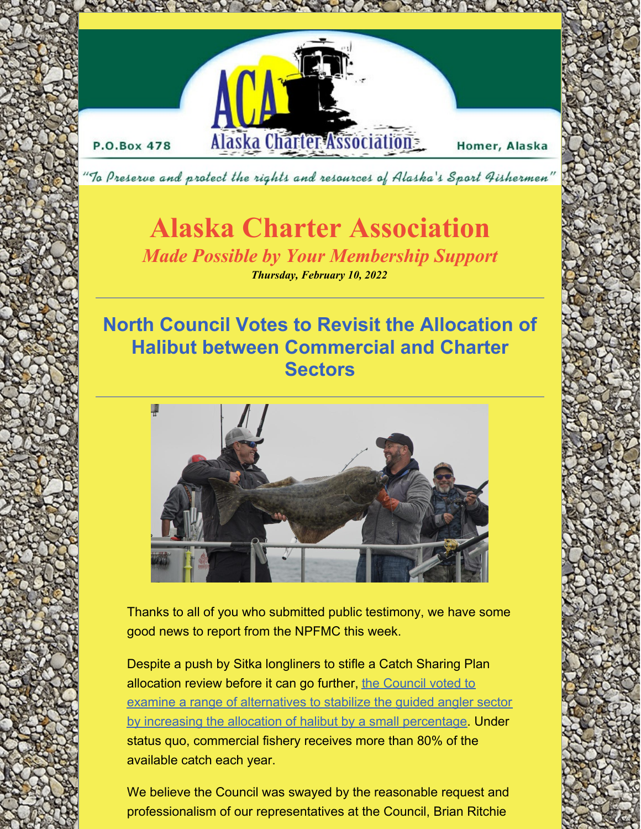

To Preserve and protect the rights and resources of Alaska's Sport Fishermen'

# **Alaska Charter Association**

*Made Possible by Your Membership Support Thursday, February 10, 2022*

### **North Council Votes to Revisit the Allocation of Halibut between Commercial and Charter Sectors**



Thanks to all of you who submitted public testimony, we have some good news to report from the NPFMC this week.

Despite a push by Sitka longliners to stifle a Catch Sharing Plan allocation review before it can go further, the Council voted to examine a range of alternatives to stabilize the guided angler sector by increasing the allocation of halibut by a small [percentage.](https://meetings.npfmc.org/CommentReview/DownloadFile?p=9b0ad1bf-293b-4a04-90c0-5a669ac1d936.pdf&fileName=D1 Council Motion 2 - Halibut CSP Allocation.pdf) Under status quo, commercial fishery receives more than 80% of the available catch each year.

We believe the Council was swayed by the reasonable request and professionalism of our representatives at the Council, Brian Ritchie